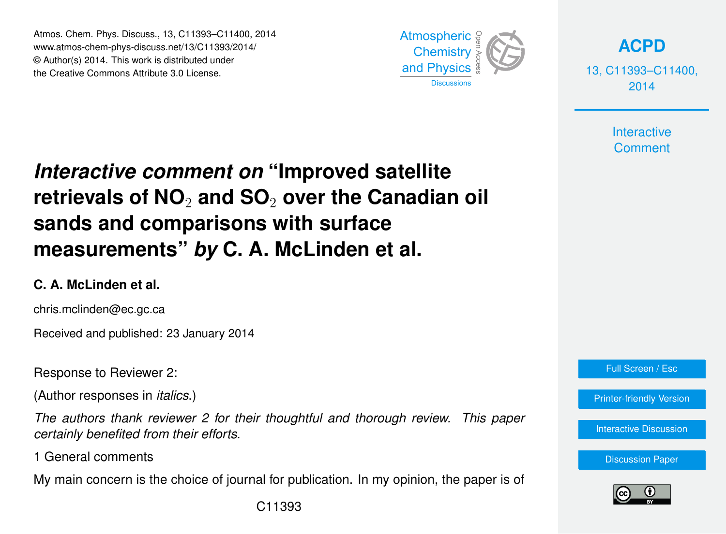Atmos. Chem. Phys. Discuss., 13, C11393–C11400, 2014 www.atmos-chem-phys-discuss.net/13/C11393/2014/ © Author(s) 2014. This work is distributed under the Creative Commons Attribute 3.0 License.



**[ACPD](http://www.atmos-chem-phys-discuss.net)**

13, C11393–C11400, 2014

> **Interactive Comment**

# *Interactive comment on* **"Improved satellite retrievals of NO**<sup>2</sup> **and SO**<sup>2</sup> **over the Canadian oil sands and comparisons with surface measurements"** *by* **C. A. McLinden et al.**

#### **C. A. McLinden et al.**

chris.mclinden@ec.gc.ca

Received and published: 23 January 2014

Response to Reviewer 2:

(Author responses in *italics*.)

*The authors thank reviewer 2 for their thoughtful and thorough review. This paper certainly benefited from their efforts.*

1 General comments

My main concern is the choice of journal for publication. In my opinion, the paper is of

Full Screen / Esc

[Printer-friendly Version](http://www.atmos-chem-phys-discuss.net/13/C11393/2014/acpd-13-C11393-2014-print.pdf)

[Interactive Discussion](http://www.atmos-chem-phys-discuss.net/13/21609/2013/acpd-13-21609-2013-discussion.html)

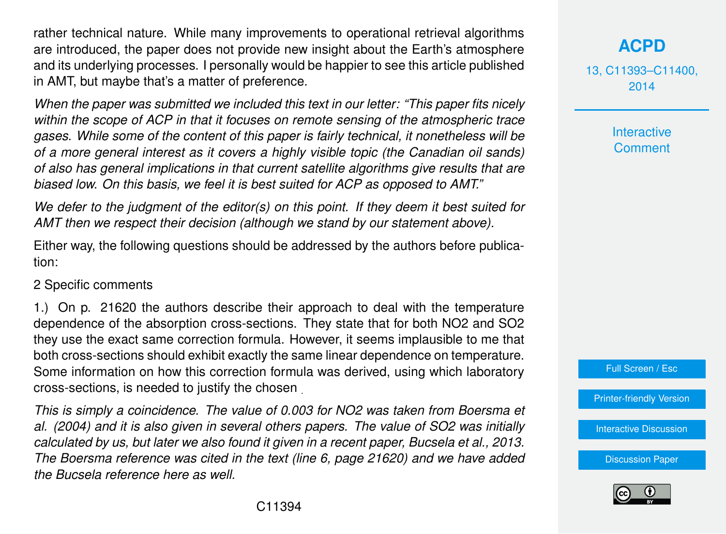rather technical nature. While many improvements to operational retrieval algorithms are introduced, the paper does not provide new insight about the Earth's atmosphere and its underlying processes. I personally would be happier to see this article published in AMT, but maybe that's a matter of preference.

*When the paper was submitted we included this text in our letter: "This paper fits nicely within the scope of ACP in that it focuses on remote sensing of the atmospheric trace gases. While some of the content of this paper is fairly technical, it nonetheless will be of a more general interest as it covers a highly visible topic (the Canadian oil sands) of also has general implications in that current satellite algorithms give results that are biased low. On this basis, we feel it is best suited for ACP as opposed to AMT."*

*We defer to the judgment of the editor(s) on this point. If they deem it best suited for AMT then we respect their decision (although we stand by our statement above).*

Either way, the following questions should be addressed by the authors before publication:

#### 2 Specific comments

1.) On p. 21620 the authors describe their approach to deal with the temperature dependence of the absorption cross-sections. They state that for both NO2 and SO2 they use the exact same correction formula. However, it seems implausible to me that both cross-sections should exhibit exactly the same linear dependence on temperature. Some information on how this correction formula was derived, using which laboratory cross-sections, is needed to justify the chosen .

*This is simply a coincidence. The value of 0.003 for NO2 was taken from Boersma et al. (2004) and it is also given in several others papers. The value of SO2 was initially calculated by us, but later we also found it given in a recent paper, Bucsela et al., 2013. The Boersma reference was cited in the text (line 6, page 21620) and we have added the Bucsela reference here as well.*

# **[ACPD](http://www.atmos-chem-phys-discuss.net)**

13, C11393–C11400, 2014

> **Interactive Comment**



[Printer-friendly Version](http://www.atmos-chem-phys-discuss.net/13/C11393/2014/acpd-13-C11393-2014-print.pdf)

[Interactive Discussion](http://www.atmos-chem-phys-discuss.net/13/21609/2013/acpd-13-21609-2013-discussion.html)

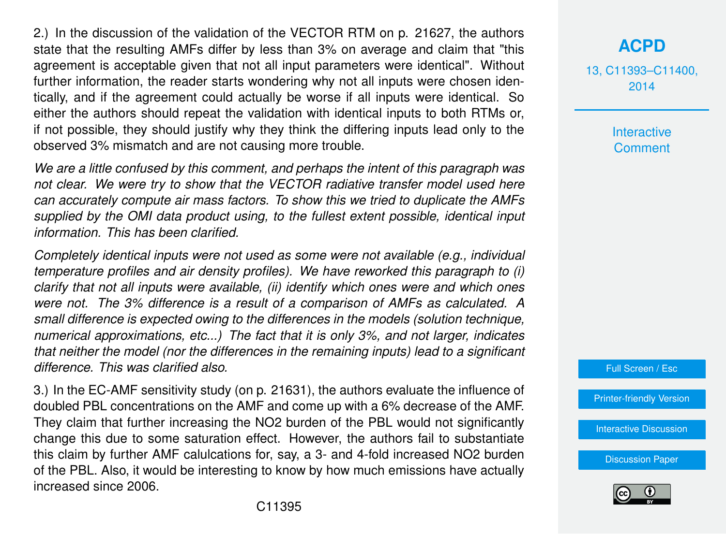2.) In the discussion of the validation of the VECTOR RTM on p. 21627, the authors state that the resulting AMFs differ by less than 3% on average and claim that "this agreement is acceptable given that not all input parameters were identical". Without further information, the reader starts wondering why not all inputs were chosen identically, and if the agreement could actually be worse if all inputs were identical. So either the authors should repeat the validation with identical inputs to both RTMs or, if not possible, they should justify why they think the differing inputs lead only to the observed 3% mismatch and are not causing more trouble.

*We are a little confused by this comment, and perhaps the intent of this paragraph was not clear. We were try to show that the VECTOR radiative transfer model used here can accurately compute air mass factors. To show this we tried to duplicate the AMFs supplied by the OMI data product using, to the fullest extent possible, identical input information. This has been clarified.*

*Completely identical inputs were not used as some were not available (e.g., individual temperature profiles and air density profiles). We have reworked this paragraph to (i) clarify that not all inputs were available, (ii) identify which ones were and which ones were not. The 3% difference is a result of a comparison of AMFs as calculated. A small difference is expected owing to the differences in the models (solution technique, numerical approximations, etc...) The fact that it is only 3%, and not larger, indicates that neither the model (nor the differences in the remaining inputs) lead to a significant difference. This was clarified also.*

3.) In the EC-AMF sensitivity study (on p. 21631), the authors evaluate the influence of doubled PBL concentrations on the AMF and come up with a 6% decrease of the AMF. They claim that further increasing the NO2 burden of the PBL would not significantly change this due to some saturation effect. However, the authors fail to substantiate this claim by further AMF calulcations for, say, a 3- and 4-fold increased NO2 burden of the PBL. Also, it would be interesting to know by how much emissions have actually increased since 2006.

# **[ACPD](http://www.atmos-chem-phys-discuss.net)**

13, C11393–C11400, 2014

> **Interactive Comment**



[Printer-friendly Version](http://www.atmos-chem-phys-discuss.net/13/C11393/2014/acpd-13-C11393-2014-print.pdf)

[Interactive Discussion](http://www.atmos-chem-phys-discuss.net/13/21609/2013/acpd-13-21609-2013-discussion.html)

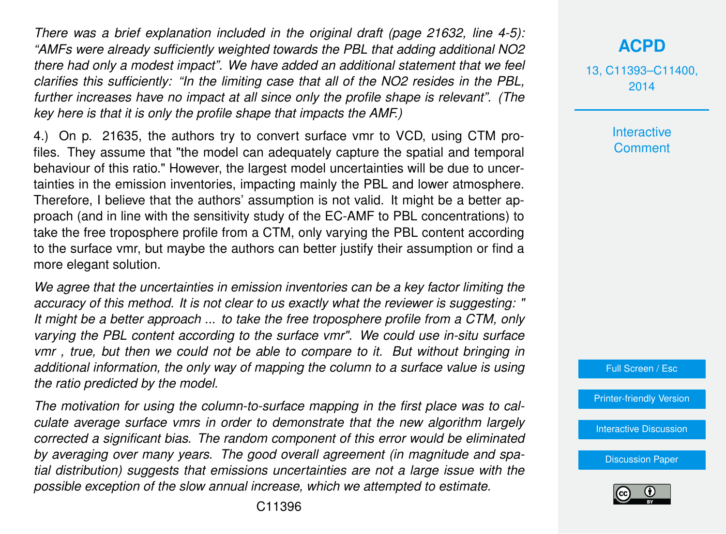*There was a brief explanation included in the original draft (page 21632, line 4-5): "AMFs were already sufficiently weighted towards the PBL that adding additional NO2 there had only a modest impact". We have added an additional statement that we feel clarifies this sufficiently: "In the limiting case that all of the NO2 resides in the PBL, further increases have no impact at all since only the profile shape is relevant". (The key here is that it is only the profile shape that impacts the AMF.)*

4.) On p. 21635, the authors try to convert surface vmr to VCD, using CTM profiles. They assume that "the model can adequately capture the spatial and temporal behaviour of this ratio." However, the largest model uncertainties will be due to uncertainties in the emission inventories, impacting mainly the PBL and lower atmosphere. Therefore, I believe that the authors' assumption is not valid. It might be a better approach (and in line with the sensitivity study of the EC-AMF to PBL concentrations) to take the free troposphere profile from a CTM, only varying the PBL content according to the surface vmr, but maybe the authors can better justify their assumption or find a more elegant solution.

*We agree that the uncertainties in emission inventories can be a key factor limiting the accuracy of this method. It is not clear to us exactly what the reviewer is suggesting: " It might be a better approach ... to take the free troposphere profile from a CTM, only varying the PBL content according to the surface vmr". We could use in-situ surface vmr , true, but then we could not be able to compare to it. But without bringing in additional information, the only way of mapping the column to a surface value is using the ratio predicted by the model.*

*The motivation for using the column-to-surface mapping in the first place was to calculate average surface vmrs in order to demonstrate that the new algorithm largely corrected a significant bias. The random component of this error would be eliminated by averaging over many years. The good overall agreement (in magnitude and spatial distribution) suggests that emissions uncertainties are not a large issue with the possible exception of the slow annual increase, which we attempted to estimate.*

13, C11393–C11400, 2014

> **Interactive Comment**

Full Screen / Esc

[Printer-friendly Version](http://www.atmos-chem-phys-discuss.net/13/C11393/2014/acpd-13-C11393-2014-print.pdf)

[Interactive Discussion](http://www.atmos-chem-phys-discuss.net/13/21609/2013/acpd-13-21609-2013-discussion.html)

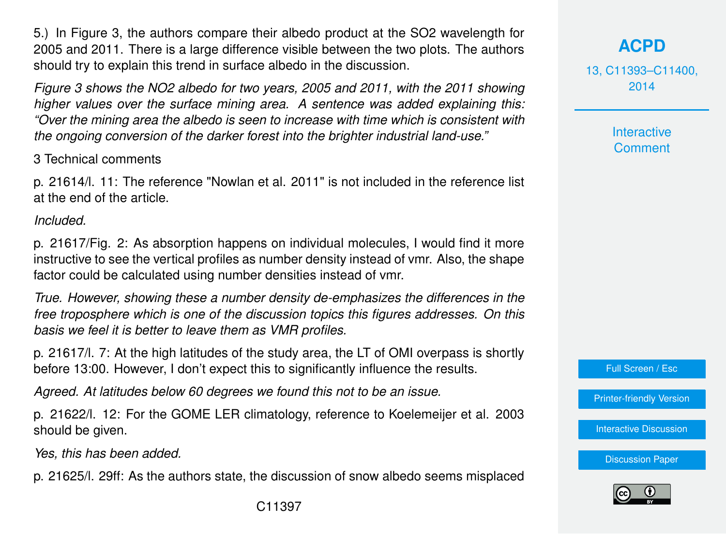5.) In Figure 3, the authors compare their albedo product at the SO2 wavelength for 2005 and 2011. There is a large difference visible between the two plots. The authors should try to explain this trend in surface albedo in the discussion.

*Figure 3 shows the NO2 albedo for two years, 2005 and 2011, with the 2011 showing higher values over the surface mining area. A sentence was added explaining this: "Over the mining area the albedo is seen to increase with time which is consistent with the ongoing conversion of the darker forest into the brighter industrial land-use."*

3 Technical comments

p. 21614/l. 11: The reference "Nowlan et al. 2011" is not included in the reference list at the end of the article.

*Included.*

p. 21617/Fig. 2: As absorption happens on individual molecules, I would find it more instructive to see the vertical profiles as number density instead of vmr. Also, the shape factor could be calculated using number densities instead of vmr.

*True. However, showing these a number density de-emphasizes the differences in the free troposphere which is one of the discussion topics this figures addresses. On this basis we feel it is better to leave them as VMR profiles.*

p. 21617/l. 7: At the high latitudes of the study area, the LT of OMI overpass is shortly before 13:00. However, I don't expect this to significantly influence the results.

*Agreed. At latitudes below 60 degrees we found this not to be an issue.*

p. 21622/l. 12: For the GOME LER climatology, reference to Koelemeijer et al. 2003 should be given.

*Yes, this has been added.*

p. 21625/l. 29ff: As the authors state, the discussion of snow albedo seems misplaced

**[ACPD](http://www.atmos-chem-phys-discuss.net)**

13, C11393–C11400, 2014

> **Interactive Comment**

Full Screen / Esc

[Printer-friendly Version](http://www.atmos-chem-phys-discuss.net/13/C11393/2014/acpd-13-C11393-2014-print.pdf)

[Interactive Discussion](http://www.atmos-chem-phys-discuss.net/13/21609/2013/acpd-13-21609-2013-discussion.html)

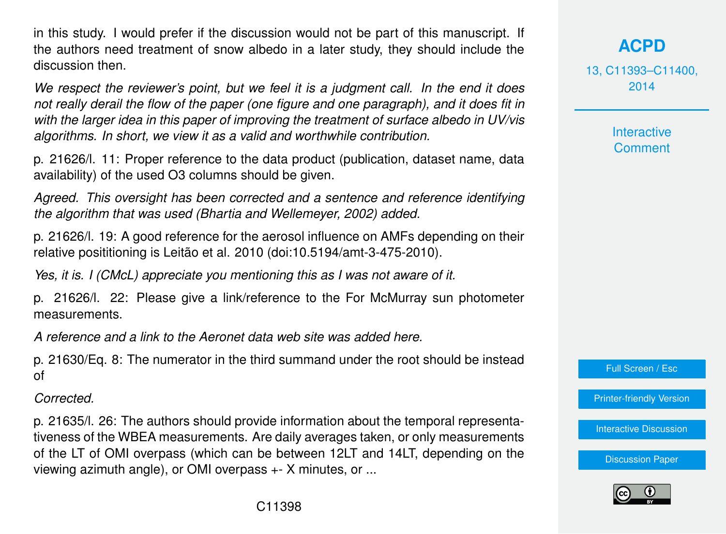in this study. I would prefer if the discussion would not be part of this manuscript. If the authors need treatment of snow albedo in a later study, they should include the discussion then.

*We respect the reviewer's point, but we feel it is a judgment call. In the end it does not really derail the flow of the paper (one figure and one paragraph), and it does fit in with the larger idea in this paper of improving the treatment of surface albedo in UV/vis algorithms. In short, we view it as a valid and worthwhile contribution.*

p. 21626/l. 11: Proper reference to the data product (publication, dataset name, data availability) of the used O3 columns should be given.

*Agreed. This oversight has been corrected and a sentence and reference identifying the algorithm that was used (Bhartia and Wellemeyer, 2002) added.*

p. 21626/l. 19: A good reference for the aerosol influence on AMFs depending on their relative posititioning is Leitão et al. 2010 (doi:10.5194/amt-3-475-2010).

*Yes, it is. I (CMcL) appreciate you mentioning this as I was not aware of it.*

p. 21626/l. 22: Please give a link/reference to the For McMurray sun photometer measurements.

*A reference and a link to the Aeronet data web site was added here.*

p. 21630/Eq. 8: The numerator in the third summand under the root should be instead of

*Corrected.*

p. 21635/l. 26: The authors should provide information about the temporal representativeness of the WBEA measurements. Are daily averages taken, or only measurements of the LT of OMI overpass (which can be between 12LT and 14LT, depending on the viewing azimuth angle), or OMI overpass +- X minutes, or ...

13, C11393–C11400, 2014

> **Interactive Comment**

Full Screen / Esc

[Printer-friendly Version](http://www.atmos-chem-phys-discuss.net/13/C11393/2014/acpd-13-C11393-2014-print.pdf)

[Interactive Discussion](http://www.atmos-chem-phys-discuss.net/13/21609/2013/acpd-13-21609-2013-discussion.html)

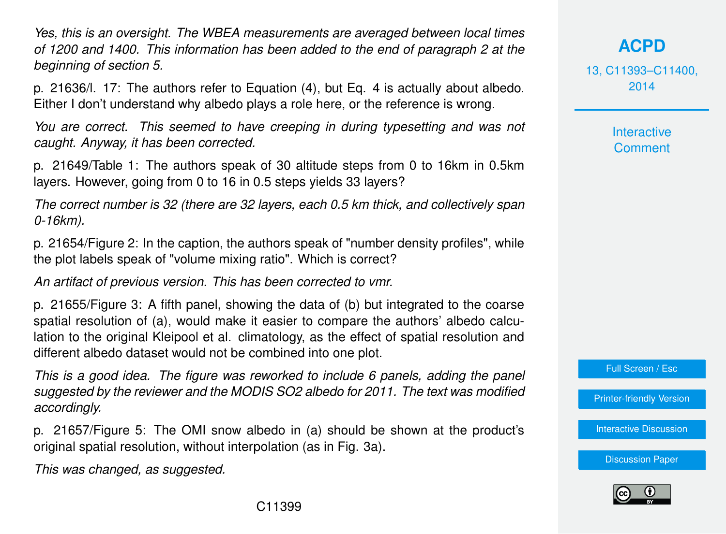*Yes, this is an oversight. The WBEA measurements are averaged between local times of 1200 and 1400. This information has been added to the end of paragraph 2 at the beginning of section 5.*

p. 21636/l. 17: The authors refer to Equation (4), but Eq. 4 is actually about albedo. Either I don't understand why albedo plays a role here, or the reference is wrong.

*You are correct. This seemed to have creeping in during typesetting and was not caught. Anyway, it has been corrected.*

p. 21649/Table 1: The authors speak of 30 altitude steps from 0 to 16km in 0.5km layers. However, going from 0 to 16 in 0.5 steps yields 33 layers?

*The correct number is 32 (there are 32 layers, each 0.5 km thick, and collectively span 0-16km).*

p. 21654/Figure 2: In the caption, the authors speak of "number density profiles", while the plot labels speak of "volume mixing ratio". Which is correct?

*An artifact of previous version. This has been corrected to vmr.*

p. 21655/Figure 3: A fifth panel, showing the data of (b) but integrated to the coarse spatial resolution of (a), would make it easier to compare the authors' albedo calculation to the original Kleipool et al. climatology, as the effect of spatial resolution and different albedo dataset would not be combined into one plot.

*This is a good idea. The figure was reworked to include 6 panels, adding the panel suggested by the reviewer and the MODIS SO2 albedo for 2011. The text was modified accordingly.*

p. 21657/Figure 5: The OMI snow albedo in (a) should be shown at the product's original spatial resolution, without interpolation (as in Fig. 3a).

*This was changed, as suggested.*

**[ACPD](http://www.atmos-chem-phys-discuss.net)**

13, C11393–C11400, 2014

> **Interactive Comment**

Full Screen / Esc

[Printer-friendly Version](http://www.atmos-chem-phys-discuss.net/13/C11393/2014/acpd-13-C11393-2014-print.pdf)

[Interactive Discussion](http://www.atmos-chem-phys-discuss.net/13/21609/2013/acpd-13-21609-2013-discussion.html)